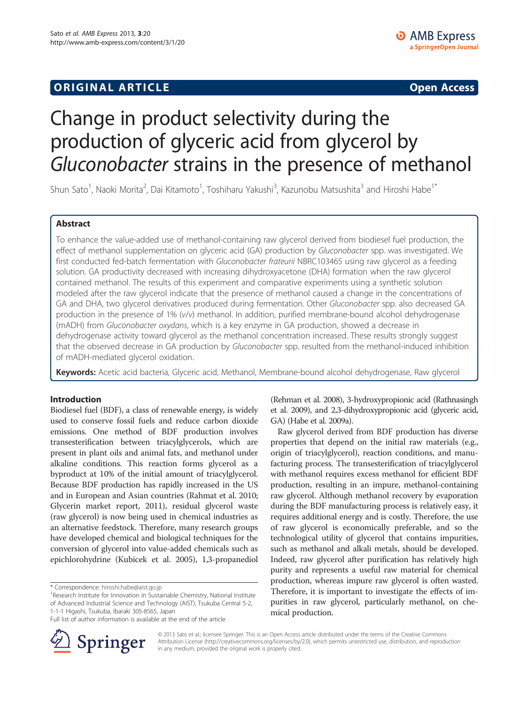## **ORIGINAL ARTICLE CONSERVANCE IN A LOCAL CONSERVANCE IN A LOCAL CONSERVANCE IN A LOCAL CONSERVANCE IN A LOCAL CONSERVANCE IN A LOCAL CONSERVANCE IN A LOCAL CONSERVANCE IN A LOCAL CONSERVANCE IN A LOCAL CONSERVANCE IN A L**

# Change in product selectivity during the production of glyceric acid from glycerol by Gluconobacter strains in the presence of methanol

Shun Sato<sup>1</sup>, Naoki Morita<sup>2</sup>, Dai Kitamoto<sup>1</sup>, Toshiharu Yakushi<sup>3</sup>, Kazunobu Matsushita<sup>3</sup> and Hiroshi Habe<sup>1\*</sup>

## Abstract

To enhance the value-added use of methanol-containing raw glycerol derived from biodiesel fuel production, the effect of methanol supplementation on glyceric acid (GA) production by Gluconobacter spp. was investigated. We first conducted fed-batch fermentation with Gluconobacter frateurii NBRC103465 using raw glycerol as a feeding solution. GA productivity decreased with increasing dihydroxyacetone (DHA) formation when the raw glycerol contained methanol. The results of this experiment and comparative experiments using a synthetic solution modeled after the raw glycerol indicate that the presence of methanol caused a change in the concentrations of GA and DHA, two glycerol derivatives produced during fermentation. Other Gluconobacter spp. also decreased GA production in the presence of 1% (v/v) methanol. In addition, purified membrane-bound alcohol dehydrogenase (mADH) from Gluconobacter oxydans, which is a key enzyme in GA production, showed a decrease in dehydrogenase activity toward glycerol as the methanol concentration increased. These results strongly suggest that the observed decrease in GA production by Gluconobacter spp. resulted from the methanol-induced inhibition of mADH-mediated glycerol oxidation.

Keywords: Acetic acid bacteria, Glyceric acid, Methanol, Membrane-bound alcohol dehydrogenase, Raw glycerol

## Introduction

Biodiesel fuel (BDF), a class of renewable energy, is widely used to conserve fossil fuels and reduce carbon dioxide emissions. One method of BDF production involves transesterification between triacylglycerols, which are present in plant oils and animal fats, and methanol under alkaline conditions. This reaction forms glycerol as a byproduct at 10% of the initial amount of triacylglycerol. Because BDF production has rapidly increased in the US and in European and Asian countries (Rahmat et al. [2010](#page-6-0); Glycerin market report, [2011\)](#page-6-0), residual glycerol waste (raw glycerol) is now being used in chemical industries as an alternative feedstock. Therefore, many research groups have developed chemical and biological techniques for the conversion of glycerol into value-added chemicals such as epichlorohydrine (Kubicek et al. [2005\)](#page-6-0), 1,3-propanediol

\* Correspondence: [hiroshi.habe@aist.go.jp](mailto:hiroshi.habe@aist.go.jp) <sup>1</sup>

<sup>1</sup>Research Institute for Innovation in Sustainable Chemistry, National Institute of Advanced Industrial Science and Technology (AIST), Tsukuba Central 5-2, 1-1-1 Higashi, Tsukuba, Ibaraki 305-8565, Japan



Raw glycerol derived from BDF production has diverse properties that depend on the initial raw materials (e.g., origin of triacylglycerol), reaction conditions, and manufacturing process. The transesterification of triacylglycerol with methanol requires excess methanol for efficient BDF production, resulting in an impure, methanol-containing raw glycerol. Although methanol recovery by evaporation during the BDF manufacturing process is relatively easy, it requires additional energy and is costly. Therefore, the use of raw glycerol is economically preferable, and so the technological utility of glycerol that contains impurities, such as methanol and alkali metals, should be developed. Indeed, raw glycerol after purification has relatively high purity and represents a useful raw material for chemical production, whereas impure raw glycerol is often wasted. Therefore, it is important to investigate the effects of impurities in raw glycerol, particularly methanol, on chemical production.



© 2013 Sato et al.; licensee Springer. This is an Open Access article distributed under the terms of the Creative Commons Attribution License [\(http://creativecommons.org/licenses/by/2.0\)](http://creativecommons.org/licenses/by/2.0), which permits unrestricted use, distribution, and reproduction in any medium, provided the original work is properly cited.

Full list of author information is available at the end of the article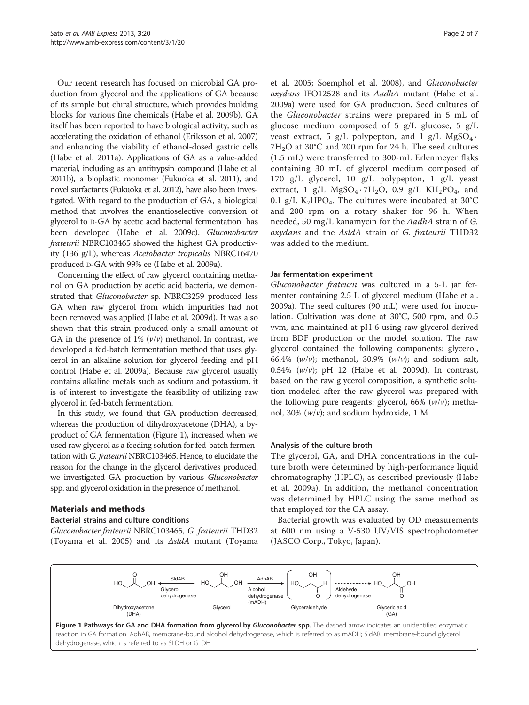<span id="page-1-0"></span>Our recent research has focused on microbial GA production from glycerol and the applications of GA because of its simple but chiral structure, which provides building blocks for various fine chemicals (Habe et al. [2009b](#page-6-0)). GA itself has been reported to have biological activity, such as accelerating the oxidation of ethanol (Eriksson et al. [2007](#page-6-0)) and enhancing the viability of ethanol-dosed gastric cells (Habe et al. [2011a](#page-6-0)). Applications of GA as a value-added material, including as an antitrypsin compound (Habe et al. [2011b](#page-6-0)), a bioplastic monomer (Fukuoka et al. [2011\)](#page-6-0), and novel surfactants (Fukuoka et al. [2012\)](#page-6-0), have also been investigated. With regard to the production of GA, a biological method that involves the enantioselective conversion of glycerol to D-GA by acetic acid bacterial fermentation has been developed (Habe et al. [2009c\)](#page-6-0). Gluconobacter frateurii NBRC103465 showed the highest GA productivity (136 g/L), whereas Acetobacter tropicalis NBRC16470 produced D-GA with 99% ee (Habe et al. [2009a](#page-6-0)).

Concerning the effect of raw glycerol containing methanol on GA production by acetic acid bacteria, we demonstrated that Gluconobacter sp. NBRC3259 produced less GA when raw glycerol from which impurities had not been removed was applied (Habe et al. [2009d\)](#page-6-0). It was also shown that this strain produced only a small amount of GA in the presence of  $1\%$  ( $v/v$ ) methanol. In contrast, we developed a fed-batch fermentation method that uses glycerol in an alkaline solution for glycerol feeding and pH control (Habe et al. [2009a\)](#page-6-0). Because raw glycerol usually contains alkaline metals such as sodium and potassium, it is of interest to investigate the feasibility of utilizing raw glycerol in fed-batch fermentation.

In this study, we found that GA production decreased, whereas the production of dihydroxyacetone (DHA), a byproduct of GA fermentation (Figure 1), increased when we used raw glycerol as a feeding solution for fed-batch fermentation with G. frateurii NBRC103465. Hence, to elucidate the reason for the change in the glycerol derivatives produced, we investigated GA production by various Gluconobacter spp. and glycerol oxidation in the presence of methanol.

#### Materials and methods

#### Bacterial strains and culture conditions

Gluconobacter frateurii NBRC103465, G. frateurii THD32 (Toyama et al. [2005](#page-6-0)) and its  $\Delta s$ ldA mutant (Toyama

et al. [2005;](#page-6-0) Soemphol et al. [2008\)](#page-6-0), and Gluconobacter oxydans IFO12528 and its ΔadhA mutant (Habe et al. [2009a\)](#page-6-0) were used for GA production. Seed cultures of the Gluconobacter strains were prepared in 5 mL of glucose medium composed of 5 g/L glucose, 5 g/L yeast extract, 5 g/L polypepton, and 1 g/L  $MgSO<sub>4</sub>$ .  $7H<sub>2</sub>O$  at 30°C and 200 rpm for 24 h. The seed cultures (1.5 mL) were transferred to 300-mL Erlenmeyer flaks containing 30 mL of glycerol medium composed of 170 g/L glycerol, 10 g/L polypepton, 1 g/L yeast extract, 1 g/L  $MgSO<sub>4</sub> \cdot 7H<sub>2</sub>O$ , 0.9 g/L  $KH<sub>2</sub>PO<sub>4</sub>$ , and 0.1 g/L K<sub>2</sub>HPO<sub>4</sub>. The cultures were incubated at 30°C and 200 rpm on a rotary shaker for 96 h. When needed, 50 mg/L kanamycin for the  $\Delta$ adhA strain of G. oxydans and the ΔsldA strain of G. frateurii THD32 was added to the medium.

#### Jar fermentation experiment

Gluconobacter frateurii was cultured in a 5-L jar fermenter containing 2.5 L of glycerol medium (Habe et al. [2009a\)](#page-6-0). The seed cultures (90 mL) were used for inoculation. Cultivation was done at 30°C, 500 rpm, and 0.5 vvm, and maintained at pH 6 using raw glycerol derived from BDF production or the model solution. The raw glycerol contained the following components: glycerol, 66.4%  $(w/v)$ ; methanol, 30.9%  $(w/v)$ ; and sodium salt, 0.54%  $(w/v)$ ; pH 12 (Habe et al. [2009d](#page-6-0)). In contrast, based on the raw glycerol composition, a synthetic solution modeled after the raw glycerol was prepared with the following pure reagents: glycerol, 66%  $(w/v)$ ; methanol, 30%  $(w/v)$ ; and sodium hydroxide, 1 M.

#### Analysis of the culture broth

The glycerol, GA, and DHA concentrations in the culture broth were determined by high-performance liquid chromatography (HPLC), as described previously (Habe et al. [2009a](#page-6-0)). In addition, the methanol concentration was determined by HPLC using the same method as that employed for the GA assay.

Bacterial growth was evaluated by OD measurements at 600 nm using a V-530 UV/VIS spectrophotometer (JASCO Corp., Tokyo, Japan).

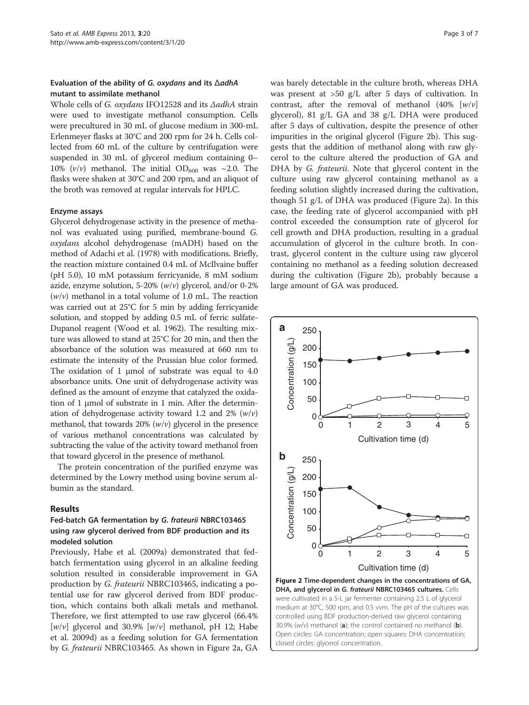## <span id="page-2-0"></span>Evaluation of the ability of G. oxydans and its ΔadhA mutant to assimilate methanol

Whole cells of G. oxydans IFO12528 and its ΔadhA strain were used to investigate methanol consumption. Cells were precultured in 30 mL of glucose medium in 300-mL Erlenmeyer flasks at 30°C and 200 rpm for 24 h. Cells collected from 60 mL of the culture by centrifugation were suspended in 30 mL of glycerol medium containing 0– 10%  $(v/v)$  methanol. The initial OD<sub>600</sub> was ~2.0. The flasks were shaken at 30°C and 200 rpm, and an aliquot of the broth was removed at regular intervals for HPLC.

#### Enzyme assays

Glycerol dehydrogenase activity in the presence of methanol was evaluated using purified, membrane-bound G. oxydans alcohol dehydrogenase (mADH) based on the method of Adachi et al. ([1978](#page-6-0)) with modifications. Briefly, the reaction mixture contained 0.4 mL of McIlvaine buffer (pH 5.0), 10 mM potassium ferricyanide, 8 mM sodium azide, enzyme solution, 5-20%  $(w/v)$  glycerol, and/or 0-2%  $(w/v)$  methanol in a total volume of 1.0 mL. The reaction was carried out at 25°C for 5 min by adding ferricyanide solution, and stopped by adding 0.5 mL of ferric sulfate-Dupanol reagent (Wood et al. [1962](#page-6-0)). The resulting mixture was allowed to stand at 25°C for 20 min, and then the absorbance of the solution was measured at 660 nm to estimate the intensity of the Prussian blue color formed. The oxidation of 1 μmol of substrate was equal to 4.0 absorbance units. One unit of dehydrogenase activity was defined as the amount of enzyme that catalyzed the oxidation of 1 μmol of substrate in 1 min. After the determination of dehydrogenase activity toward 1.2 and 2%  $(w/v)$ methanol, that towards  $20\%$  ( $w/v$ ) glycerol in the presence of various methanol concentrations was calculated by subtracting the value of the activity toward methanol from that toward glycerol in the presence of methanol.

The protein concentration of the purified enzyme was determined by the Lowry method using bovine serum albumin as the standard.

#### Results

## Fed-batch GA fermentation by G. frateurii NBRC103465 using raw glycerol derived from BDF production and its modeled solution

Previously, Habe et al. ([2009a\)](#page-6-0) demonstrated that fedbatch fermentation using glycerol in an alkaline feeding solution resulted in considerable improvement in GA production by G. frateurii NBRC103465, indicating a potential use for raw glycerol derived from BDF production, which contains both alkali metals and methanol. Therefore, we first attempted to use raw glycerol (66.4%  $[w/v]$  glycerol and 30.9%  $[w/v]$  methanol, pH 12; Habe et al. [2009d](#page-6-0)) as a feeding solution for GA fermentation by G. frateurii NBRC103465. As shown in Figure 2a, GA was barely detectable in the culture broth, whereas DHA was present at >50 g/L after 5 days of cultivation. In contrast, after the removal of methanol (40%  $[w/v]$ glycerol), 81 g/L GA and 38 g/L DHA were produced after 5 days of cultivation, despite the presence of other impurities in the original glycerol (Figure 2b). This suggests that the addition of methanol along with raw glycerol to the culture altered the production of GA and DHA by *G. frateurii*. Note that glycerol content in the culture using raw glycerol containing methanol as a feeding solution slightly increased during the cultivation, though 51 g/L of DHA was produced (Figure 2a). In this case, the feeding rate of glycerol accompanied with pH control exceeded the consumption rate of glycerol for cell growth and DHA production, resulting in a gradual accumulation of glycerol in the culture broth. In contrast, glycerol content in the culture using raw glycerol containing no methanol as a feeding solution decreased during the cultivation (Figure 2b), probably because a large amount of GA was produced.

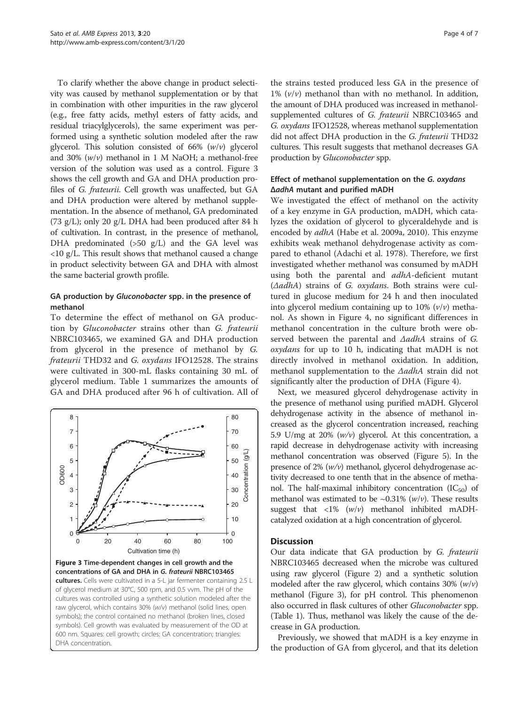<span id="page-3-0"></span>To clarify whether the above change in product selectivity was caused by methanol supplementation or by that in combination with other impurities in the raw glycerol (e.g., free fatty acids, methyl esters of fatty acids, and residual triacylglycerols), the same experiment was performed using a synthetic solution modeled after the raw glycerol. This solution consisted of 66%  $(w/v)$  glycerol and 30%  $(w/v)$  methanol in 1 M NaOH; a methanol-free version of the solution was used as a control. Figure 3 shows the cell growth and GA and DHA production profiles of G. frateurii. Cell growth was unaffected, but GA and DHA production were altered by methanol supplementation. In the absence of methanol, GA predominated (73 g/L); only 20 g/L DHA had been produced after 84 h of cultivation. In contrast, in the presence of methanol, DHA predominated (>50 g/L) and the GA level was <10 g/L. This result shows that methanol caused a change in product selectivity between GA and DHA with almost the same bacterial growth profile.

## GA production by Gluconobacter spp. in the presence of methanol

To determine the effect of methanol on GA production by Gluconobacter strains other than G. frateurii NBRC103465, we examined GA and DHA production from glycerol in the presence of methanol by G. frateurii THD32 and G. oxydans IFO12528. The strains were cultivated in 300-mL flasks containing 30 mL of glycerol medium. Table [1](#page-4-0) summarizes the amounts of GA and DHA produced after 96 h of cultivation. All of



Figure 3 Time-dependent changes in cell growth and the concentrations of GA and DHA in G. frateurii NBRC103465 cultures. Cells were cultivated in a 5-L jar fermenter containing 2.5 L of glycerol medium at 30°C, 500 rpm, and 0.5 vvm. The pH of the cultures was controlled using a synthetic solution modeled after the raw glycerol, which contains 30% (w/v) methanol (solid lines, open symbols); the control contained no methanol (broken lines, closed symbols). Cell growth was evaluated by measurement of the OD at 600 nm. Squares: cell growth; circles: GA concentration; triangles: DHA concentration.

the strains tested produced less GA in the presence of 1%  $(v/v)$  methanol than with no methanol. In addition, the amount of DHA produced was increased in methanolsupplemented cultures of G. frateurii NBRC103465 and G. oxydans IFO12528, whereas methanol supplementation did not affect DHA production in the G. frateurii THD32 cultures. This result suggests that methanol decreases GA production by Gluconobacter spp.

## Effect of methanol supplementation on the G. oxydans ΔadhA mutant and purified mADH

We investigated the effect of methanol on the activity of a key enzyme in GA production, mADH, which catalyzes the oxidation of glycerol to glyceraldehyde and is encoded by adhA (Habe et al. [2009a](#page-6-0), [2010](#page-6-0)). This enzyme exhibits weak methanol dehydrogenase activity as compared to ethanol (Adachi et al. [1978\)](#page-6-0). Therefore, we first investigated whether methanol was consumed by mADH using both the parental and *adhA*-deficient mutant (ΔadhA) strains of G. oxydans. Both strains were cultured in glucose medium for 24 h and then inoculated into glycerol medium containing up to 10%  $(v/v)$  methanol. As shown in Figure [4](#page-4-0), no significant differences in methanol concentration in the culture broth were observed between the parental and ΔadhA strains of G. oxydans for up to 10 h, indicating that mADH is not directly involved in methanol oxidation. In addition, methanol supplementation to the ΔadhA strain did not significantly alter the production of DHA (Figure [4](#page-4-0)).

Next, we measured glycerol dehydrogenase activity in the presence of methanol using purified mADH. Glycerol dehydrogenase activity in the absence of methanol increased as the glycerol concentration increased, reaching 5.9 U/mg at 20%  $(w/v)$  glycerol. At this concentration, a rapid decrease in dehydrogenase activity with increasing methanol concentration was observed (Figure [5](#page-5-0)). In the presence of 2%  $(w/v)$  methanol, glycerol dehydrogenase activity decreased to one tenth that in the absence of methanol. The half-maximal inhibitory concentration  $(IC_{50})$  of methanol was estimated to be  $\sim 0.31\%$  (w/v). These results suggest that  $\langle 1\% \, (w/v)$  methanol inhibited mADHcatalyzed oxidation at a high concentration of glycerol.

#### **Discussion**

Our data indicate that GA production by G. frateurii NBRC103465 decreased when the microbe was cultured using raw glycerol (Figure [2\)](#page-2-0) and a synthetic solution modeled after the raw glycerol, which contains  $30\%$  ( $w/v$ ) methanol (Figure 3), for pH control. This phenomenon also occurred in flask cultures of other Gluconobacter spp. (Table [1\)](#page-4-0). Thus, methanol was likely the cause of the decrease in GA production.

Previously, we showed that mADH is a key enzyme in the production of GA from glycerol, and that its deletion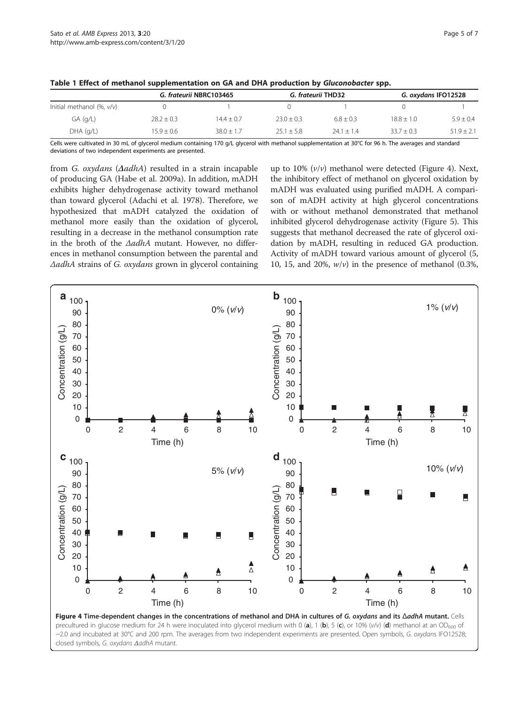| Initial methanol (%, v/v) | G. frateurii NBRC103465 |              | G. frateurii THD32 |              | G. oxydans IFO12528 |                |
|---------------------------|-------------------------|--------------|--------------------|--------------|---------------------|----------------|
|                           |                         |              |                    |              |                     |                |
| $GA$ (g/L)                | $28.2 \pm 0.3$          | $14.4 + 0.7$ | $23.0 + 0.3$       | $6.8 + 0.3$  | $18.8 + 1.0$        | $5.9 \pm 0.4$  |
| $DHA$ (q/L)               | $15.9 \pm 0.6$          | $38.0 + 1.7$ | $25.1 \pm 5.8$     | $24.1 + 1.4$ | $33.7 \pm 0.3$      | $51.9 \pm 2.1$ |

<span id="page-4-0"></span>Table 1 Effect of methanol supplementation on GA and DHA production by Gluconobacter spp.

Cells were cultivated in 30 mL of glycerol medium containing 170 g/L glycerol with methanol supplementation at 30°C for 96 h. The averages and standard deviations of two independent experiments are presented.

from G. oxydans (ΔadhA) resulted in a strain incapable of producing GA (Habe et al. [2009a\)](#page-6-0). In addition, mADH exhibits higher dehydrogenase activity toward methanol than toward glycerol (Adachi et al. [1978\)](#page-6-0). Therefore, we hypothesized that mADH catalyzed the oxidation of methanol more easily than the oxidation of glycerol, resulting in a decrease in the methanol consumption rate in the broth of the ΔadhA mutant. However, no differences in methanol consumption between the parental and ΔadhA strains of G. oxydans grown in glycerol containing

up to 10%  $(v/v)$  methanol were detected (Figure 4). Next, the inhibitory effect of methanol on glycerol oxidation by mADH was evaluated using purified mADH. A comparison of mADH activity at high glycerol concentrations with or without methanol demonstrated that methanol inhibited glycerol dehydrogenase activity (Figure [5\)](#page-5-0). This suggests that methanol decreased the rate of glycerol oxidation by mADH, resulting in reduced GA production. Activity of mADH toward various amount of glycerol (5, 10, 15, and 20%,  $w/v$ ) in the presence of methanol (0.3%,

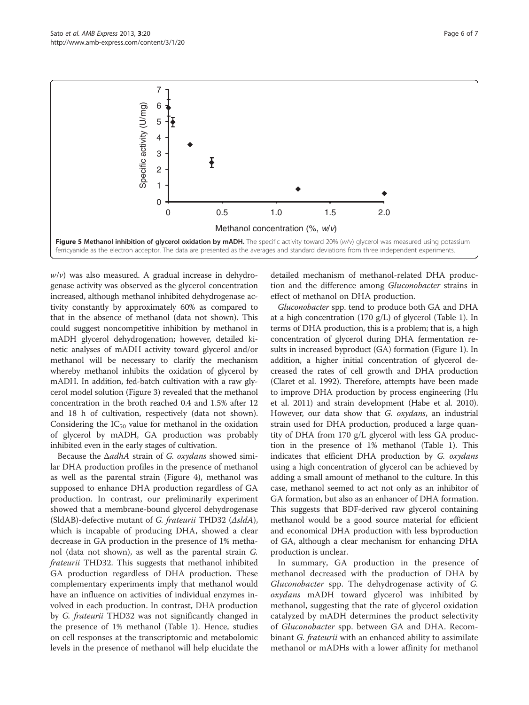<span id="page-5-0"></span>

 $w/v$ ) was also measured. A gradual increase in dehydrogenase activity was observed as the glycerol concentration increased, although methanol inhibited dehydrogenase activity constantly by approximately 60% as compared to that in the absence of methanol (data not shown). This could suggest noncompetitive inhibition by methanol in mADH glycerol dehydrogenation; however, detailed kinetic analyses of mADH activity toward glycerol and/or methanol will be necessary to clarify the mechanism whereby methanol inhibits the oxidation of glycerol by mADH. In addition, fed-batch cultivation with a raw glycerol model solution (Figure [3\)](#page-3-0) revealed that the methanol concentration in the broth reached 0.4 and 1.5% after 12 and 18 h of cultivation, respectively (data not shown). Considering the  $IC_{50}$  value for methanol in the oxidation of glycerol by mADH, GA production was probably inhibited even in the early stages of cultivation.

Because the ΔadhA strain of G. oxydans showed similar DHA production profiles in the presence of methanol as well as the parental strain (Figure [4\)](#page-4-0), methanol was supposed to enhance DHA production regardless of GA production. In contrast, our preliminarily experiment showed that a membrane-bound glycerol dehydrogenase (SldAB)-defective mutant of G. frateurii THD32 (ΔsldA), which is incapable of producing DHA, showed a clear decrease in GA production in the presence of 1% methanol (data not shown), as well as the parental strain G. frateurii THD32. This suggests that methanol inhibited GA production regardless of DHA production. These complementary experiments imply that methanol would have an influence on activities of individual enzymes involved in each production. In contrast, DHA production by G. frateurii THD32 was not significantly changed in the presence of 1% methanol (Table [1\)](#page-4-0). Hence, studies on cell responses at the transcriptomic and metabolomic levels in the presence of methanol will help elucidate the

detailed mechanism of methanol-related DHA production and the difference among Gluconobacter strains in effect of methanol on DHA production.

Gluconobacter spp. tend to produce both GA and DHA at a high concentration (170 g/L) of glycerol (Table [1\)](#page-4-0). In terms of DHA production, this is a problem; that is, a high concentration of glycerol during DHA fermentation results in increased byproduct (GA) formation (Figure [1](#page-1-0)). In addition, a higher initial concentration of glycerol decreased the rates of cell growth and DHA production (Claret et al. [1992\)](#page-6-0). Therefore, attempts have been made to improve DHA production by process engineering (Hu et al. [2011](#page-6-0)) and strain development (Habe et al. [2010](#page-6-0)). However, our data show that G. oxydans, an industrial strain used for DHA production, produced a large quantity of DHA from 170 g/L glycerol with less GA production in the presence of 1% methanol (Table [1\)](#page-4-0). This indicates that efficient DHA production by G. oxydans using a high concentration of glycerol can be achieved by adding a small amount of methanol to the culture. In this case, methanol seemed to act not only as an inhibitor of GA formation, but also as an enhancer of DHA formation. This suggests that BDF-derived raw glycerol containing methanol would be a good source material for efficient and economical DHA production with less byproduction of GA, although a clear mechanism for enhancing DHA production is unclear.

In summary, GA production in the presence of methanol decreased with the production of DHA by Gluconobacter spp. The dehydrogenase activity of G. oxydans mADH toward glycerol was inhibited by methanol, suggesting that the rate of glycerol oxidation catalyzed by mADH determines the product selectivity of Gluconobacter spp. between GA and DHA. Recombinant G. frateurii with an enhanced ability to assimilate methanol or mADHs with a lower affinity for methanol